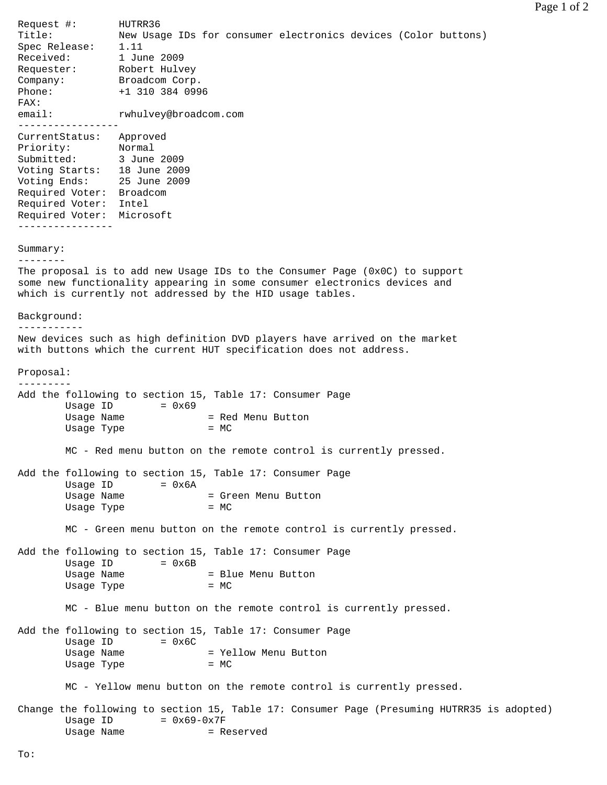Request #: HUTRR36 Title: New Usage IDs for consumer electronics devices (Color buttons) Spec Release: 1.11 Received: 1 June 2009 Requester: Robert Hulvey Company: Broadcom Corp. Phone: +1 310 384 0996 FAX: email: rwhulvey@broadcom.com ----------------- CurrentStatus: Approved Priority: Normal Submitted: 3 June 2009 Voting Starts: 18 June 2009 Voting Ends: 25 June 2009 Required Voter: Broadcom Required Voter: Intel Required Voter: Microsoft ---------------- Summary: -------- The proposal is to add new Usage IDs to the Consumer Page (0x0C) to support some new functionality appearing in some consumer electronics devices and which is currently not addressed by the HID usage tables. Background: ----------- New devices such as high definition DVD players have arrived on the market with buttons which the current HUT specification does not address. Proposal: --------- Add the following to section 15, Table 17: Consumer Page Usage ID  $= 0x69$ Usage Name  $=$  Red Menu Button Usage Type  $= MC$  MC - Red menu button on the remote control is currently pressed. Add the following to section 15, Table 17: Consumer Page Usage ID  $= 0x6A$ Usage Name  $=$  Green Menu Button Usage Type  $= MC$  MC - Green menu button on the remote control is currently pressed. Add the following to section 15, Table 17: Consumer Page Usage ID  $= 0x6B$ Usage Name  $=$  Blue Menu Button Usage Type  $= MC$  MC - Blue menu button on the remote control is currently pressed. Add the following to section 15, Table 17: Consumer Page Usage ID  $= 0x6C$ Usage Name  $=$  Yellow Menu Button Usage Type = MC MC - Yellow menu button on the remote control is currently pressed. Change the following to section 15, Table 17: Consumer Page (Presuming HUTRR35 is adopted) Usage ID  $= 0x69-0x7F$ 

Usage Name  $=$  Reserved